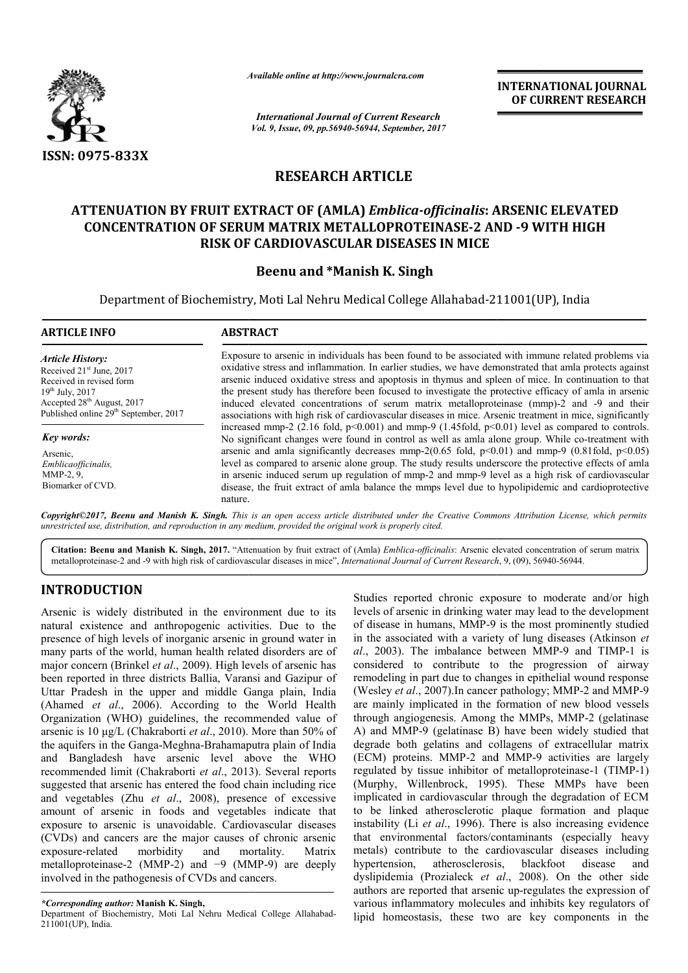

*Available online at http://www.journal http://www.journalcra.com*

*International Journal of Current Research Vol. 9, Issue, 09, pp.56940-56944, September, 2017* **INTERNATIONAL JOURNAL OF CURRENT RESEARCH** 

# **RESEARCH ARTICLE**

## **ATTENUATION BY FRUIT EXTRACT OF (AMLA)**  *Emblica-officinalis***: ARSENIC ELEVATED ARSENIC ELEVATED 2 AND -9 WITH HIGH CONCENTRATION OF SERUM MATRIX METALLOPROTEINASE METALLOPROTEINASE-2 AND RISK OF CARDIOVASCULAR DISEASES IN MICE**

### **Beenu and \*Manish K. Singh**

Department of Biochemistry, Moti Lal Nehru Medical College Allahabad-211001(UP), India

| <b>ARTICLE INFO</b>                                                                                                                                                                                                | <b>ABSTRACT</b>                                                                                                                                                                                                                                                                                                                                                                                                                                                                                                                                                                                                                                                                                                                                                                                                                                                                                                                                                                                                                                                                                                                                                                                                                                                                                  |
|--------------------------------------------------------------------------------------------------------------------------------------------------------------------------------------------------------------------|--------------------------------------------------------------------------------------------------------------------------------------------------------------------------------------------------------------------------------------------------------------------------------------------------------------------------------------------------------------------------------------------------------------------------------------------------------------------------------------------------------------------------------------------------------------------------------------------------------------------------------------------------------------------------------------------------------------------------------------------------------------------------------------------------------------------------------------------------------------------------------------------------------------------------------------------------------------------------------------------------------------------------------------------------------------------------------------------------------------------------------------------------------------------------------------------------------------------------------------------------------------------------------------------------|
| <b>Article History:</b><br>Received 21 <sup>st</sup> June, 2017<br>Received in revised form<br>$19^{th}$ July, 2017<br>Accepted 28 <sup>th</sup> August, 2017<br>Published online 29 <sup>th</sup> September, 2017 | Exposure to arsenic in individuals has been found to be associated with immune related problems via<br>oxidative stress and inflammation. In earlier studies, we have demonstrated that amla protects against<br>arsenic induced oxidative stress and apoptosis in thymus and spleen of mice. In continuation to that<br>the present study has therefore been focused to investigate the protective efficacy of amla in arsenic<br>induced elevated concentrations of serum matrix metalloproteinase (mmp)-2 and -9 and their<br>associations with high risk of cardiovascular diseases in mice. Arsenic treatment in mice, significantly<br>increased mmp-2 (2.16 fold, $p<0.001$ ) and mmp-9 (1.45 fold, $p<0.01$ ) level as compared to controls.<br>No significant changes were found in control as well as amla alone group. While co-treatment with<br>arsenic and amla significantly decreases mmp-2(0.65 fold, $p<0.01$ ) and mmp-9 (0.81fold, $p<0.05$ )<br>level as compared to arsenic alone group. The study results underscore the protective effects of amla<br>in arsenic induced serum up regulation of mmp-2 and mmp-9 level as a high risk of cardiovascular<br>disease, the fruit extract of amla balance the mmps level due to hypolipidemic and cardioprotective<br>nature. |
| Key words:                                                                                                                                                                                                         |                                                                                                                                                                                                                                                                                                                                                                                                                                                                                                                                                                                                                                                                                                                                                                                                                                                                                                                                                                                                                                                                                                                                                                                                                                                                                                  |
| Arsenic,<br>Emblicaofficinalis,<br>MMP-2, 9,<br>Biomarker of CVD.                                                                                                                                                  |                                                                                                                                                                                                                                                                                                                                                                                                                                                                                                                                                                                                                                                                                                                                                                                                                                                                                                                                                                                                                                                                                                                                                                                                                                                                                                  |

Copyright©2017, Beenu and Manish K. Singh. This is an open access article distributed under the Creative Commons Attribution License, which permits *unrestricted use, distribution, and reproduction in any medium, provided the original work is properly cited.*

Citation: Beenu and Manish K. Singh, 2017. "Attenuation by fruit extract of (Amla) *Emblica-officinalis*: Arsenic elevated concentration of serum matrix metalloproteinase-2 and -9 with high risk of cardiovascular diseases metalloproteinase-2 and -9 with high risk of cardiovascular diseases in mice", *International Journal of Current Research* 

### **INTRODUCTION**

Arsenic is widely distributed in the environment due to its natural existence and anthropogenic activities. Due to the presence of high levels of inorganic arsenic in ground water in many parts of the world, human health related disorders are of major concern (Brinkel *et al*., 2009). High levels of arsenic has been reported in three districts Ballia, Varansi and Gazipur of Uttar Pradesh in the upper and middle Ganga plain, India (Ahamed *et al*., 2006). According to the World Health Organization (WHO) guidelines, the recommended value of arsenic is 10 μg/L (Chakraborti *et al*., 2010). More than 50% of Organization (WHO) guidelines, the recommended value of arsenic is 10  $\mu$ g/L (Chakraborti *et al.*, 2010). More than 50% of the aquifers in the Ganga-Meghna-Brahamaputra plain of India and Bangladesh have arsenic level above the WHO recommended limit (Chakraborti *et al*., 2013). Several reports suggested that arsenic has entered the food chain including rice and vegetables (Zhu *et al*., 2008), presence of excessive amount of arsenic in foods and vegetables indicate that exposure to arsenic is unavoidable. Cardiovascular diseases (CVDs) and cancers are the major causes of chronic arsenic exposure-related morbidity and mortality. Matrix metalloproteinase-2 (MMP-2) and −9 (MMP-9) are deeply involved in the pathogenesis of CVDs and cancers. tables (Zhu *et al.*, 2008), presence of excessive<br>of arsenic in foods and vegetables indicate that<br>to arsenic is unavoidable. Cardiovascular diseases<br>and cancers are the major causes of chronic arsenic<br>related morbidity

Studies reported chronic exposure to moderate and/or high levels of arsenic in drinking water may lead to the development levels of arsenic in drinking water may lead to the development<br>of disease in humans, MMP-9 is the most prominently studied in the associated with a variety of lung diseases (Atkinson *et* al., 2003). The imbalance between MMP-9 and TIMP-1 is considered to contribute to the progression of airway remodeling in part due to changes in epithelial wound response (Wesley *et al.*, 2007). In cancer pathology; MMP-2 and MMP-9 are mainly implicated in the formation of new blood vessels are mainly implicated in the formation of new blood vessels through angiogenesis. Among the MMPs, MMP-2 (gelatinase A) and MMP-9 (gelatinase B) have been widely studied that A) and MMP-9 (gelatinase B) have been widely studied that degrade both gelatins and collagens of extracellular matrix (ECM) proteins. MMP-2 and MMP-9 activities are largely regulated by tissue inhibitor of metalloproteinase-1 (TIMP-1) (Murphy, Willenbrock, 1995). These MMPs have been implicated in cardiovascular through the degradation of ECM to be linked atherosclerotic plaque formation and plaque instability (Li *et al*., 1996). There is also increasing evidence that environmental factors/contaminants (especially heavy metals) contribute to the cardiovascular diseases including hypertension, atherosclerosis, blackfoot disease and (Murphy, Willenbrock, 1995). These MMPs have been<br>
implicated in cardiovascular through the degradation of ECM<br>
to be linked atherosclerotic plaque formation and plaque<br>
instability (Li *et al.*, 1996). There is also incre authors are reported that arsenic up-regulates the expression of various inflammatory molecules and inhibits key regulators of lipid homeostasis, these two are key components in the to the progression of airway<br>nnges in epithelial wound response<br>er pathology; MMP-2 and MMP-9

*<sup>\*</sup>Corresponding author:* **Manish K. Singh,**

Department of Biochemistry, Moti Lal Nehru Medical College Allahabad-211001(UP), India.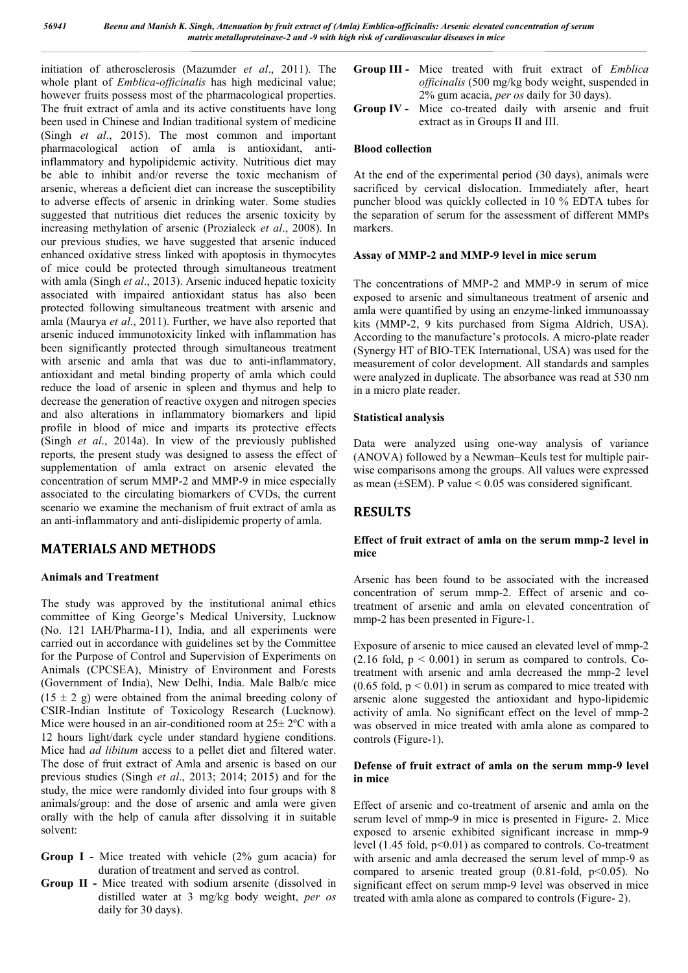initiation of atherosclerosis (Mazumder *et al*., 2011). The whole plant of *Emblica-officinalis* has high medicinal value; however fruits possess most of the pharmacological properties. The fruit extract of amla and its active constituents have long been used in Chinese and Indian traditional system of medicine (Singh *et al*., 2015). The most common and important pharmacological action of amla is antioxidant, antiinflammatory and hypolipidemic activity. Nutritious diet may be able to inhibit and/or reverse the toxic mechanism of arsenic, whereas a deficient diet can increase the susceptibility to adverse effects of arsenic in drinking water. Some studies suggested that nutritious diet reduces the arsenic toxicity by increasing methylation of arsenic (Prozialeck *et al*., 2008). In our previous studies, we have suggested that arsenic induced enhanced oxidative stress linked with apoptosis in thymocytes of mice could be protected through simultaneous treatment with amla (Singh *et al*., 2013). Arsenic induced hepatic toxicity associated with impaired antioxidant status has also been protected following simultaneous treatment with arsenic and amla (Maurya *et al*., 2011). Further, we have also reported that arsenic induced immunotoxicity linked with inflammation has been significantly protected through simultaneous treatment with arsenic and amla that was due to anti-inflammatory, antioxidant and metal binding property of amla which could reduce the load of arsenic in spleen and thymus and help to decrease the generation of reactive oxygen and nitrogen species and also alterations in inflammatory biomarkers and lipid profile in blood of mice and imparts its protective effects (Singh *et al*., 2014a). In view of the previously published reports, the present study was designed to assess the effect of supplementation of amla extract on arsenic elevated the concentration of serum MMP-2 and MMP-9 in mice especially associated to the circulating biomarkers of CVDs, the current scenario we examine the mechanism of fruit extract of amla as an anti-inflammatory and anti-dislipidemic property of amla.

### **MATERIALS AND METHODS**

#### **Animals and Treatment**

The study was approved by the institutional animal ethics committee of King George's Medical University, Lucknow (No. 121 IAH/Pharma-11), India, and all experiments were carried out in accordance with guidelines set by the Committee for the Purpose of Control and Supervision of Experiments on Animals (CPCSEA), Ministry of Environment and Forests (Government of India), New Delhi, India. Male Balb/c mice  $(15 \pm 2)$  g) were obtained from the animal breeding colony of CSIR-Indian Institute of Toxicology Research (Lucknow). Mice were housed in an air-conditioned room at  $25\pm 2$ °C with a 12 hours light/dark cycle under standard hygiene conditions. Mice had *ad libitum* access to a pellet diet and filtered water. The dose of fruit extract of Amla and arsenic is based on our previous studies (Singh *et al*., 2013; 2014; 2015) and for the study, the mice were randomly divided into four groups with 8 animals/group: and the dose of arsenic and amla were given orally with the help of canula after dissolving it in suitable solvent:

- **Group I -** Mice treated with vehicle (2% gum acacia) for duration of treatment and served as control.
- **Group II -** Mice treated with sodium arsenite (dissolved in distilled water at 3 mg/kg body weight, *per os* daily for 30 days).
- **Group III -** Mice treated with fruit extract of *Emblica officinalis* (500 mg/kg body weight, suspended in 2% gum acacia, *per os* daily for 30 days).
- **Group IV -** Mice co-treated daily with arsenic and fruit extract as in Groups II and III.

#### **Blood collection**

At the end of the experimental period (30 days), animals were sacrificed by cervical dislocation. Immediately after, heart puncher blood was quickly collected in 10 % EDTA tubes for the separation of serum for the assessment of different MMPs markers.

#### **Assay of MMP-2 and MMP-9 level in mice serum**

The concentrations of MMP-2 and MMP-9 in serum of mice exposed to arsenic and simultaneous treatment of arsenic and amla were quantified by using an enzyme-linked immunoassay kits (MMP-2, 9 kits purchased from Sigma Aldrich, USA). According to the manufacture's protocols. A micro-plate reader (Synergy HT of BIO-TEK International, USA) was used for the measurement of color development. All standards and samples were analyzed in duplicate. The absorbance was read at 530 nm in a micro plate reader.

#### **Statistical analysis**

Data were analyzed using one-way analysis of variance (ANOVA) followed by a Newman–Keuls test for multiple pairwise comparisons among the groups. All values were expressed as mean ( $\pm$ SEM). P value < 0.05 was considered significant.

### **RESULTS**

#### **Effect of fruit extract of amla on the serum mmp-2 level in mice**

Arsenic has been found to be associated with the increased concentration of serum mmp-2. Effect of arsenic and cotreatment of arsenic and amla on elevated concentration of mmp-2 has been presented in Figure-1.

Exposure of arsenic to mice caused an elevated level of mmp-2  $(2.16 \text{ fold}, p \le 0.001)$  in serum as compared to controls. Cotreatment with arsenic and amla decreased the mmp-2 level  $(0.65 \text{ fold}, p < 0.01)$  in serum as compared to mice treated with arsenic alone suggested the antioxidant and hypo-lipidemic activity of amla. No significant effect on the level of mmp-2 was observed in mice treated with amla alone as compared to controls (Figure-1).

#### **Defense of fruit extract of amla on the serum mmp-9 level in mice**

Effect of arsenic and co-treatment of arsenic and amla on the serum level of mmp-9 in mice is presented in Figure- 2. Mice exposed to arsenic exhibited significant increase in mmp-9 level  $(1.45 \text{ fold}, p<0.01)$  as compared to controls. Co-treatment with arsenic and amla decreased the serum level of mmp-9 as compared to arsenic treated group  $(0.81-fold, p<0.05)$ . No significant effect on serum mmp-9 level was observed in mice treated with amla alone as compared to controls (Figure- 2).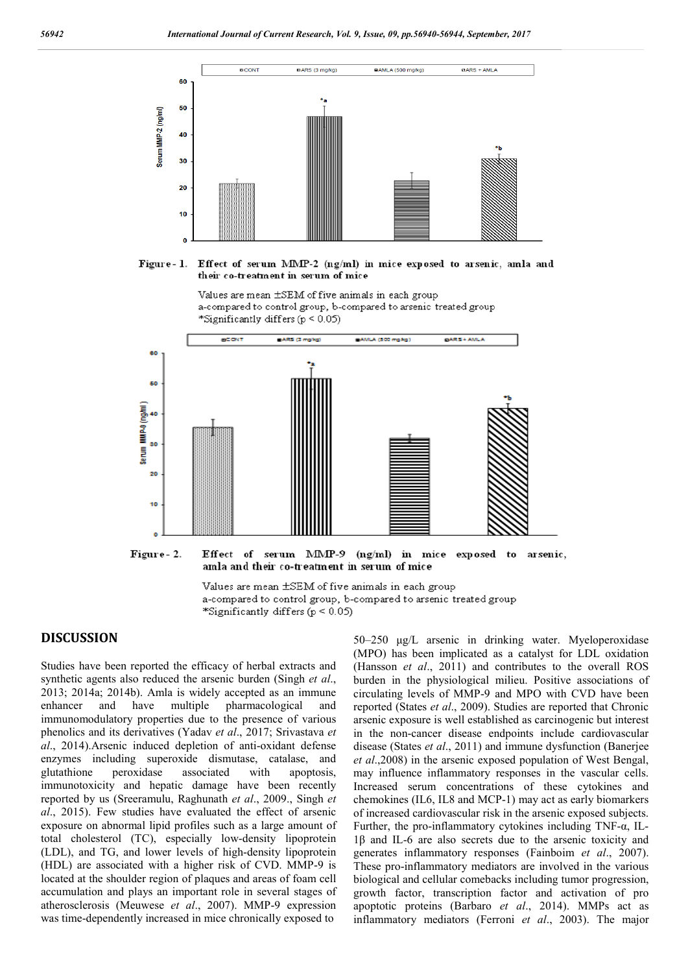

Figure - 1. Effect of serum MMP-2 (ng/ml) in mice exposed to arsenic, amla and their co-treatment in serum of mice





Effect of serum MMP-9 (ng/ml) in mice exposed to Figure-2. arsenic. amla and their co-treatment in serum of mice

Values are mean ±SEM of five animals in each group a-compared to control group, b-compared to arsenic treated group \*Significantly differs (p < 0.05)

#### **DISCUSSION**

Studies have been reported the efficacy of herbal extracts and synthetic agents also reduced the arsenic burden (Singh *et al*., 2013; 2014a; 2014b). Amla is widely accepted as an immune enhancer and have multiple pharmacological and immunomodulatory properties due to the presence of various phenolics and its derivatives (Yadav *et al*., 2017; Srivastava *et al*., 2014).Arsenic induced depletion of anti-oxidant defense enzymes including superoxide dismutase, catalase, and glutathione peroxidase associated with apoptosis, immunotoxicity and hepatic damage have been recently reported by us (Sreeramulu, Raghunath *et al*., 2009., Singh *et al*., 2015). Few studies have evaluated the effect of arsenic exposure on abnormal lipid profiles such as a large amount of total cholesterol (TC), especially low-density lipoprotein (LDL), and TG, and lower levels of high-density lipoprotein (HDL) are associated with a higher risk of CVD. MMP-9 is located at the shoulder region of plaques and areas of foam cell accumulation and plays an important role in several stages of atherosclerosis (Meuwese *et al*., 2007). MMP-9 expression was time-dependently increased in mice chronically exposed to

50–250 μg/L arsenic in drinking water. Myeloperoxidase (MPO) has been implicated as a catalyst for LDL oxidation (Hansson *et al*., 2011) and contributes to the overall ROS burden in the physiological milieu. Positive associations of circulating levels of MMP-9 and MPO with CVD have been reported (States *et al*., 2009). Studies are reported that Chronic arsenic exposure is well established as carcinogenic but interest in the non-cancer disease endpoints include cardiovascular disease (States *et al*., 2011) and immune dysfunction (Banerjee *et al*.,2008) in the arsenic exposed population of West Bengal, may influence inflammatory responses in the vascular cells. Increased serum concentrations of these cytokines and chemokines (IL6, IL8 and MCP-1) may act as early biomarkers of increased cardiovascular risk in the arsenic exposed subjects. Further, the pro-inflammatory cytokines including TNF-α, IL-1β and IL-6 are also secrets due to the arsenic toxicity and generates inflammatory responses (Fainboim *et al*., 2007). These pro-inflammatory mediators are involved in the various biological and cellular comebacks including tumor progression, growth factor, transcription factor and activation of pro apoptotic proteins (Barbaro *et al*., 2014). MMPs act as inflammatory mediators (Ferroni *et al*., 2003). The major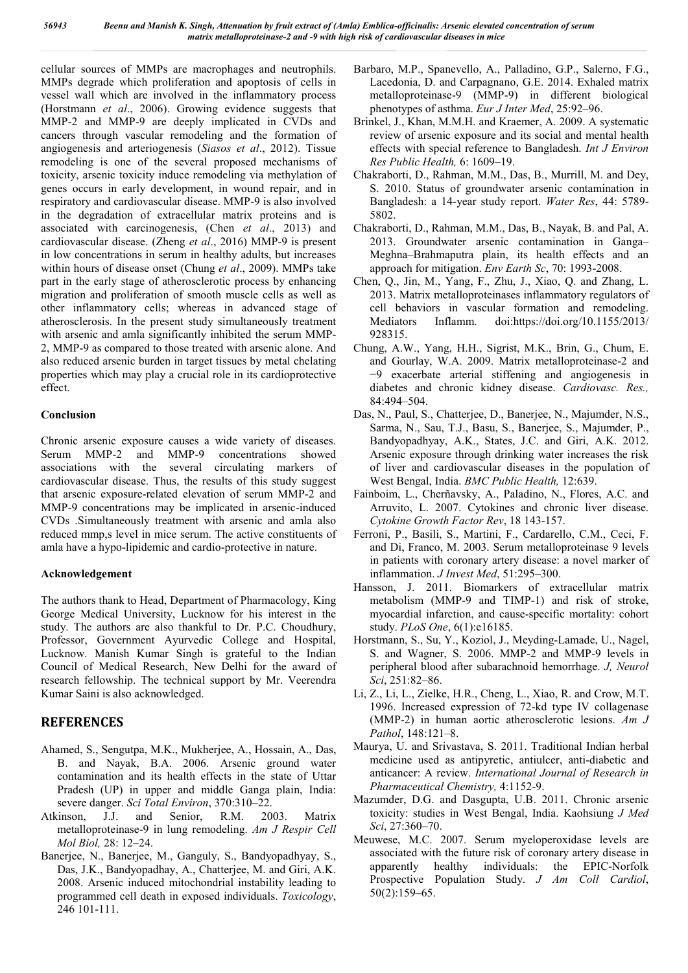cellular sources of MMPs are macrophages and neutrophils. MMPs degrade which proliferation and apoptosis of cells in vessel wall which are involved in the inflammatory process (Horstmann *et al*., 2006). Growing evidence suggests that MMP-2 and MMP-9 are deeply implicated in CVDs and cancers through vascular remodeling and the formation of angiogenesis and arteriogenesis (*Siasos et al*., 2012). Tissue remodeling is one of the several proposed mechanisms of toxicity, arsenic toxicity induce remodeling via methylation of genes occurs in early development, in wound repair, and in respiratory and cardiovascular disease. MMP-9 is also involved in the degradation of extracellular matrix proteins and is associated with carcinogenesis, (Chen *et al*., 2013) and cardiovascular disease. (Zheng *et al*., 2016) MMP-9 is present in low concentrations in serum in healthy adults, but increases within hours of disease onset (Chung *et al*., 2009). MMPs take part in the early stage of atherosclerotic process by enhancing migration and proliferation of smooth muscle cells as well as other inflammatory cells; whereas in advanced stage of atherosclerosis. In the present study simultaneously treatment with arsenic and amla significantly inhibited the serum MMP-2, MMP-9 as compared to those treated with arsenic alone. And also reduced arsenic burden in target tissues by metal chelating properties which may play a crucial role in its cardioprotective effect.

#### **Conclusion**

Chronic arsenic exposure causes a wide variety of diseases. Serum MMP-2 and MMP-9 concentrations showed associations with the several circulating markers of cardiovascular disease. Thus, the results of this study suggest that arsenic exposure-related elevation of serum MMP-2 and MMP-9 concentrations may be implicated in arsenic-induced CVDs .Simultaneously treatment with arsenic and amla also reduced mmp,s level in mice serum. The active constituents of amla have a hypo-lipidemic and cardio-protective in nature.

#### **Acknowledgement**

The authors thank to Head, Department of Pharmacology, King George Medical University, Lucknow for his interest in the study. The authors are also thankful to Dr. P.C. Choudhury, Professor, Government Ayurvedic College and Hospital, Lucknow. Manish Kumar Singh is grateful to the Indian Council of Medical Research, New Delhi for the award of research fellowship. The technical support by Mr. Veerendra Kumar Saini is also acknowledged.

### **REFERENCES**

- Ahamed, S., Sengutpa, M.K., Mukherjee, A., Hossain, A., Das, B. and Nayak, B.A. 2006. Arsenic ground water contamination and its health effects in the state of Uttar Pradesh (UP) in upper and middle Ganga plain, India: severe danger. *Sci Total Environ*, 370:310–22.
- Atkinson, J.J. and Senior, R.M. 2003. Matrix metalloproteinase-9 in lung remodeling. *Am J Respir Cell Mol Biol,* 28: 12–24.
- Banerjee, N., Banerjee, M., Ganguly, S., Bandyopadhyay, S., Das, J.K., Bandyopadhay, A., Chatterjee, M. and Giri, A.K. 2008. Arsenic induced mitochondrial instability leading to programmed cell death in exposed individuals. *Toxicology*, 246 101-111.
- Barbaro, M.P., Spanevello, A., Palladino, G.P., Salerno, F.G., Lacedonia, D. and Carpagnano, G.E. 2014. Exhaled matrix metalloproteinase-9 (MMP-9) in different biological phenotypes of asthma. *Eur J Inter Med*, 25:92–96.
- Brinkel, J., Khan, M.M.H. and Kraemer, A. 2009. A systematic review of arsenic exposure and its social and mental health effects with special reference to Bangladesh. *Int J Environ Res Public Health,* 6: 1609–19.
- Chakraborti, D., Rahman, M.M., Das, B., Murrill, M. and Dey, S. 2010. Status of groundwater arsenic contamination in Bangladesh: a 14-year study report. *Water Res*, 44: 5789- 5802.
- Chakraborti, D., Rahman, M.M., Das, B., Nayak, B. and Pal, A. 2013. Groundwater arsenic contamination in Ganga– Meghna–Brahmaputra plain, its health effects and an approach for mitigation. *Env Earth Sc*, 70: 1993-2008.
- Chen, Q., Jin, M., Yang, F., Zhu, J., Xiao, Q. and Zhang, L. 2013. Matrix metalloproteinases inflammatory regulators of cell behaviors in vascular formation and remodeling. Mediators Inflamm. doi:https://doi.org/10.1155/2013/ 928315.
- Chung, A.W., Yang, H.H., Sigrist, M.K., Brin, G., Chum, E. and Gourlay, W.A. 2009. Matrix metalloproteinase-2 and −9 exacerbate arterial stiffening and angiogenesis in diabetes and chronic kidney disease. *Cardiovasc. Res.,*  84:494–504.
- Das, N., Paul, S., Chatterjee, D., Banerjee, N., Majumder, N.S., Sarma, N., Sau, T.J., Basu, S., Banerjee, S., Majumder, P., Bandyopadhyay, A.K., States, J.C. and Giri, A.K. 2012. Arsenic exposure through drinking water increases the risk of liver and cardiovascular diseases in the population of West Bengal, India. *BMC Public Health,* 12:639.
- Fainboim, L., Cherñavsky, A., Paladino, N., Flores, A.C. and Arruvito, L. 2007. Cytokines and chronic liver disease. *Cytokine Growth Factor Rev*, 18 143-157.
- Ferroni, P., Basili, S., Martini, F., Cardarello, C.M., Ceci, F. and Di, Franco, M. 2003. Serum metalloproteinase 9 levels in patients with coronary artery disease: a novel marker of inflammation. *J Invest Med*, 51:295–300.
- Hansson, J. 2011. Biomarkers of extracellular matrix metabolism (MMP-9 and TIMP-1) and risk of stroke, myocardial infarction, and cause-specific mortality: cohort study. *PLoS One*, 6(1):e16185.
- Horstmann, S., Su, Y., Koziol, J., Meyding-Lamade, U., Nagel, S. and Wagner, S. 2006. MMP-2 and MMP-9 levels in peripheral blood after subarachnoid hemorrhage. *J, Neurol Sci*, 251:82–86.
- Li, Z., Li, L., Zielke, H.R., Cheng, L., Xiao, R. and Crow, M.T. 1996. Increased expression of 72-kd type IV collagenase (MMP-2) in human aortic atherosclerotic lesions. *Am J Pathol*, 148:121–8.
- Maurya, U. and Srivastava, S. 2011. Traditional Indian herbal medicine used as antipyretic, antiulcer, anti-diabetic and anticancer: A review. *International Journal of Research in Pharmaceutical Chemistry,* 4:1152-9.
- Mazumder, D.G. and Dasgupta, U.B. 2011. Chronic arsenic toxicity: studies in West Bengal, India. Kaohsiung *J Med Sci*, 27:360–70.
- Meuwese, M.C. 2007. Serum myeloperoxidase levels are associated with the future risk of coronary artery disease in apparently healthy individuals: the EPIC-Norfolk Prospective Population Study. *J Am Coll Cardiol*, 50(2):159–65.